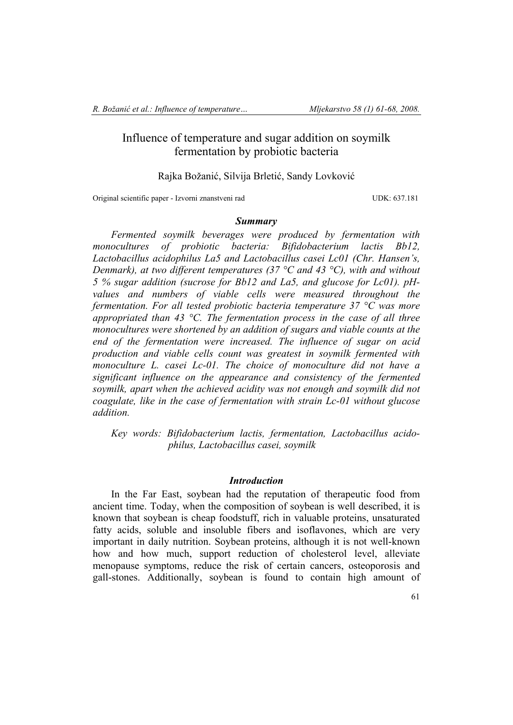## Influence of temperature and sugar addition on soymilk fermentation by probiotic bacteria

Rajka Božanić, Silvija Brletić, Sandy Lovković

Original scientific paper - Izvorni znanstveni rad UDK: 637.181

### *Summary*

*Fermented soymilk beverages were produced by fermentation with monocultures of probiotic bacteria: Bifidobacterium lactis Bb12, Lactobacillus acidophilus La5 and Lactobacillus casei Lc01 (Chr. Hansen's, Denmark), at two different temperatures (37 °C and 43 °C), with and without 5 % sugar addition (sucrose for Bb12 and La5, and glucose for Lc01). pHvalues and numbers of viable cells were measured throughout the fermentation. For all tested probiotic bacteria temperature 37 °C was more appropriated than 43 °C. The fermentation process in the case of all three monocultures were shortened by an addition of sugars and viable counts at the end of the fermentation were increased. The influence of sugar on acid production and viable cells count was greatest in soymilk fermented with monoculture L. casei Lc-01. The choice of monoculture did not have a significant influence on the appearance and consistency of the fermented soymilk, apart when the achieved acidity was not enough and soymilk did not coagulate, like in the case of fermentation with strain Lc-01 without glucose addition.* 

*Key words: Bifidobacterium lactis, fermentation, Lactobacillus acidophilus, Lactobacillus casei, soymilk*

#### *Introduction*

In the Far East, soybean had the reputation of therapeutic food from ancient time. Today, when the composition of soybean is well described, it is known that soybean is cheap foodstuff, rich in valuable proteins, unsaturated fatty acids, soluble and insoluble fibers and isoflavones, which are very important in daily nutrition. Soybean proteins, although it is not well-known how and how much, support reduction of cholesterol level, alleviate menopause symptoms, reduce the risk of certain cancers, osteoporosis and gall-stones. Additionally, soybean is found to contain high amount of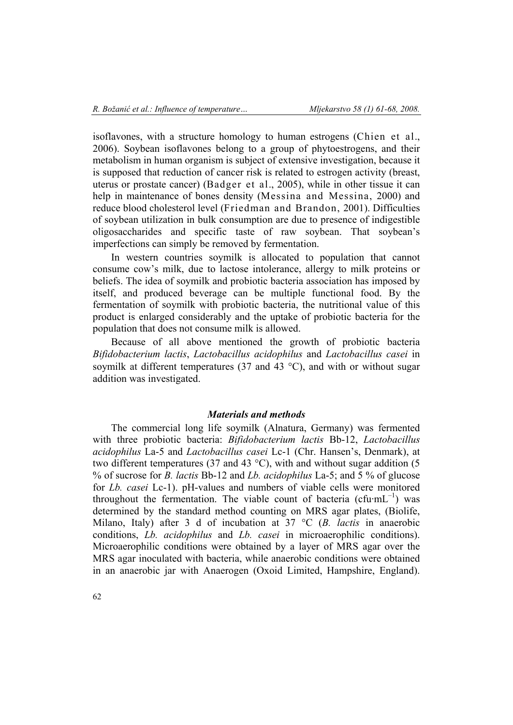isoflavones, with a structure homology to human estrogens (Chien et al., 2006). Soybean isoflavones belong to a group of phytoestrogens, and their metabolism in human organism is subject of extensive investigation, because it is supposed that reduction of cancer risk is related to estrogen activity (breast, uterus or prostate cancer) (Badger et al., 2005), while in other tissue it can help in maintenance of bones density (Messina and Messina, 2000) and reduce blood cholesterol level (Friedman and Brandon, 2001). Difficulties of soybean utilization in bulk consumption are due to presence of indigestible oligosaccharides and specific taste of raw soybean. That soybean's imperfections can simply be removed by fermentation.

In western countries soymilk is allocated to population that cannot consume cow's milk, due to lactose intolerance, allergy to milk proteins or beliefs. The idea of soymilk and probiotic bacteria association has imposed by itself, and produced beverage can be multiple functional food. By the fermentation of soymilk with probiotic bacteria, the nutritional value of this product is enlarged considerably and the uptake of probiotic bacteria for the population that does not consume milk is allowed.

Because of all above mentioned the growth of probiotic bacteria *Bifidobacterium lactis*, *Lactobacillus acidophilus* and *Lactobacillus casei* in soymilk at different temperatures (37 and 43  $^{\circ}$ C), and with or without sugar addition was investigated.

### *Materials and methods*

The commercial long life soymilk (Alnatura, Germany) was fermented with three probiotic bacteria: *Bifidobacterium lactis* Bb-12, *Lactobacillus acidophilus* La-5 and *Lactobacillus casei* Lc-1 (Chr. Hansen's, Denmark), at two different temperatures (37 and 43  $^{\circ}$ C), with and without sugar addition (5 % of sucrose for *B. lactis* Bb-12 and *Lb. acidophilus* La-5; and 5 % of glucose for *Lb. casei* Lc-1). pH-values and numbers of viable cells were monitored throughout the fermentation. The viable count of bacteria (cfu $mL^{-1}$ ) was determined by the standard method counting on MRS agar plates, (Biolife, Milano, Italy) after 3 d of incubation at 37 °C (*B. lactis* in anaerobic conditions, *Lb. acidophilus* and *Lb. casei* in microaerophilic conditions). Microaerophilic conditions were obtained by a layer of MRS agar over the MRS agar inoculated with bacteria, while anaerobic conditions were obtained in an anaerobic jar with Anaerogen (Oxoid Limited, Hampshire, England).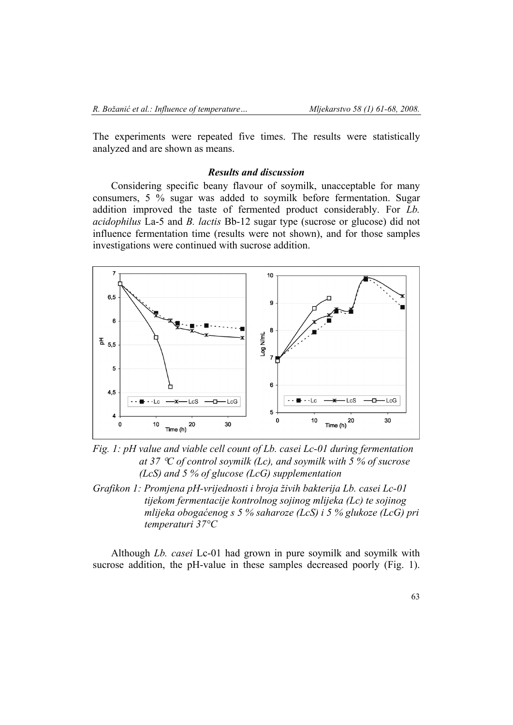The experiments were repeated five times. The results were statistically analyzed and are shown as means.

#### *Results and discussion*

Considering specific beany flavour of soymilk, unacceptable for many consumers, 5 % sugar was added to soymilk before fermentation. Sugar addition improved the taste of fermented product considerably. For *Lb. acidophilus* La-5 and *B. lactis* Bb-12 sugar type (sucrose or glucose) did not influence fermentation time (results were not shown), and for those samples investigations were continued with sucrose addition.



*Fig. 1: pH value and viable cell count of Lb. casei Lc-01 during fermentation at 37* °*C of control soymilk (Lc), and soymilk with 5 % of sucrose (LcS) and 5 % of glucose (LcG) supplementation* 

*Grafikon 1: Promjena pH-vrijednosti i broja živih bakterija Lb. casei Lc-01 tijekom fermentacije kontrolnog sojinog mlijeka (Lc) te sojinog mlijeka obogaćenog s 5 % saharoze (LcS) i 5 % glukoze (LcG) pri temperaturi 37°C* 

Although *Lb. casei* Lc-01 had grown in pure soymilk and soymilk with sucrose addition, the pH-value in these samples decreased poorly (Fig. 1).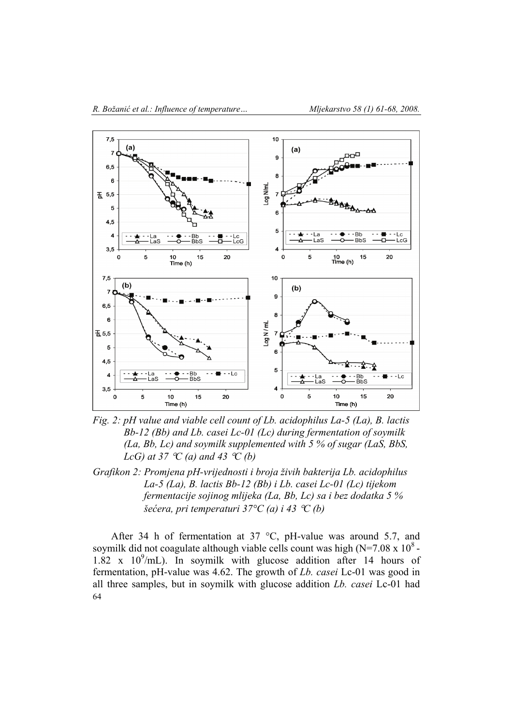

*Fig. 2: pH value and viable cell count of Lb. acidophilus La-5 (La), B. lactis Bb-12 (Bb) and Lb. casei Lc-01 (Lc) during fermentation of soymilk (La, Bb, Lc) and soymilk supplemented with 5 % of sugar (LaS, BbS, LcG)* at 37  $\mathcal{C}(a)$  and 43  $\mathcal{C}(b)$ 

*Grafikon 2: Promjena pH-vrijednosti i broja živih bakterija Lb. acidophilus La-5 (La), B. lactis Bb-12 (Bb) i Lb. casei Lc-01 (Lc) tijekom fermentacije sojinog mlijeka (La, Bb, Lc) sa i bez dodatka 5 % šećera, pri temperaturi 37°C (a) i 43* °*C (b)* 

After 34 h of fermentation at 37 °C, pH-value was around 5.7, and soymilk did not coagulate although viable cells count was high  $(N=7.08 \times 10^8 1.82 \times 10^{9}$ /mL). In soymilk with glucose addition after 14 hours of fermentation, pH-value was 4.62. The growth of *Lb. casei* Lc-01 was good in all three samples, but in soymilk with glucose addition *Lb. casei* Lc-01 had 64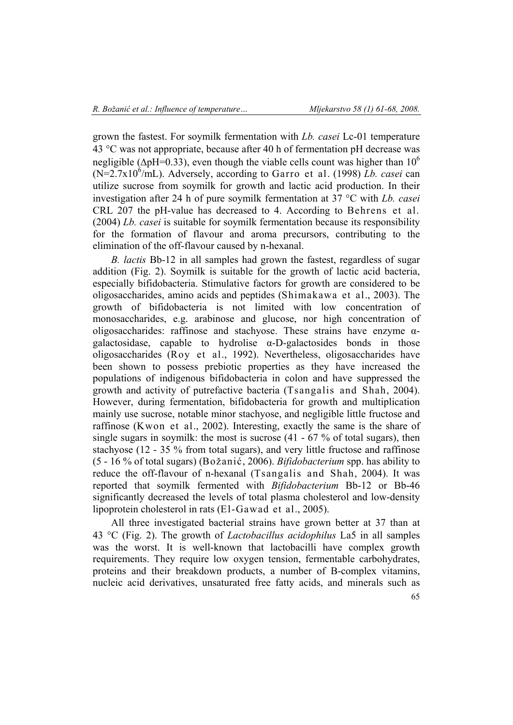grown the fastest. For soymilk fermentation with *Lb. casei* Lc-01 temperature 43 °C was not appropriate, because after 40 h of fermentation pH decrease was negligible ( $\Delta pH=0.33$ ), even though the viable cells count was higher than 10<sup>6</sup>  $(N=2.7x10^6/mL)$ . Adversely, according to Garro et al. (1998) *Lb. casei* can utilize sucrose from soymilk for growth and lactic acid production. In their investigation after 24 h of pure soymilk fermentation at 37 °C with *Lb. casei* CRL 207 the pH-value has decreased to 4. According to Behrens et al. (2004) *Lb. casei* is suitable for soymilk fermentation because its responsibility for the formation of flavour and aroma precursors, contributing to the elimination of the off-flavour caused by n-hexanal.

*B. lactis* Bb-12 in all samples had grown the fastest, regardless of sugar addition (Fig. 2). Soymilk is suitable for the growth of lactic acid bacteria, especially bifidobacteria. Stimulative factors for growth are considered to be oligosaccharides, amino acids and peptides (Shimakawa et al., 2003). The growth of bifidobacteria is not limited with low concentration of monosaccharides, e.g. arabinose and glucose, nor high concentration of oligosaccharides: raffinose and stachyose. These strains have enzyme αgalactosidase, capable to hydrolise α-D-galactosides bonds in those oligosaccharides (Roy et al., 1992). Nevertheless, oligosaccharides have been shown to possess prebiotic properties as they have increased the populations of indigenous bifidobacteria in colon and have suppressed the growth and activity of putrefactive bacteria (Tsangalis and Shah, 2004). However, during fermentation, bifidobacteria for growth and multiplication mainly use sucrose, notable minor stachyose, and negligible little fructose and raffinose (Kwon et al., 2002). Interesting, exactly the same is the share of single sugars in soymilk: the most is sucrose  $(41 - 67\%$  of total sugars), then stachyose (12 - 35 % from total sugars), and very little fructose and raffinose (5 - 16 % of total sugars) (Božanić, 2006). *Bifidobacterium* spp. has ability to reduce the off-flavour of n-hexanal (Tsangalis and Shah, 2004). It was reported that soymilk fermented with *Bifidobacterium* Bb-12 or Bb-46 significantly decreased the levels of total plasma cholesterol and low-density lipoprotein cholesterol in rats (El-Gawad et al., 2005).

All three investigated bacterial strains have grown better at 37 than at 43 °C (Fig. 2). The growth of *Lactobacillus acidophilus* La5 in all samples was the worst. It is well-known that lactobacilli have complex growth requirements. They require low oxygen tension, fermentable carbohydrates, proteins and their breakdown products, a number of B-complex vitamins, nucleic acid derivatives, unsaturated free fatty acids, and minerals such as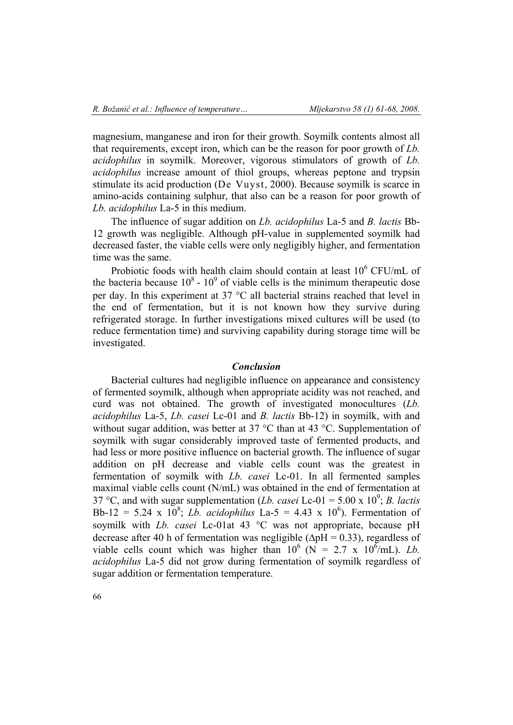magnesium, manganese and iron for their growth. Soymilk contents almost all that requirements, except iron, which can be the reason for poor growth of *Lb. acidophilus* in soymilk. Moreover, vigorous stimulators of growth of *Lb. acidophilus* increase amount of thiol groups, whereas peptone and trypsin stimulate its acid production (De Vuyst, 2000). Because soymilk is scarce in amino-acids containing sulphur, that also can be a reason for poor growth of *Lb. acidophilus* La-5 in this medium.

The influence of sugar addition on *Lb. acidophilus* La-5 and *B. lactis* Bb-12 growth was negligible. Although pH-value in supplemented soymilk had decreased faster, the viable cells were only negligibly higher, and fermentation time was the same.

Probiotic foods with health claim should contain at least  $10^6$  CFU/mL of the bacteria because  $10^8 - 10^9$  of viable cells is the minimum therapeutic dose per day. In this experiment at 37 °C all bacterial strains reached that level in the end of fermentation, but it is not known how they survive during refrigerated storage. In further investigations mixed cultures will be used (to reduce fermentation time) and surviving capability during storage time will be investigated.

#### *Conclusion*

Bacterial cultures had negligible influence on appearance and consistency of fermented soymilk, although when appropriate acidity was not reached, and curd was not obtained. The growth of investigated monocultures (*Lb. acidophilus* La-5, *Lb. casei* Lc-01 and *B. lactis* Bb-12) in soymilk, with and without sugar addition, was better at 37 °C than at 43 °C. Supplementation of soymilk with sugar considerably improved taste of fermented products, and had less or more positive influence on bacterial growth. The influence of sugar addition on pH decrease and viable cells count was the greatest in fermentation of soymilk with *Lb. casei* Lc-01. In all fermented samples maximal viable cells count (N/mL) was obtained in the end of fermentation at 37 °C, and with sugar supplementation (*Lb. casei* Lc-01 = 5.00 x 10<sup>9</sup>; *B. lactis* Bb-12 = 5.24 x 10<sup>8</sup>; *Lb. acidophilus* La-5 = 4.43 x 10<sup>6</sup>). Fermentation of soymilk with *Lb. casei* Lc-01at 43 °C was not appropriate, because pH decrease after 40 h of fermentation was negligible ( $\Delta pH = 0.33$ ), regardless of viable cells count which was higher than  $10^6$  (N = 2.7 x  $10^6$ /mL). *Lb*. *acidophilus* La-5 did not grow during fermentation of soymilk regardless of sugar addition or fermentation temperature.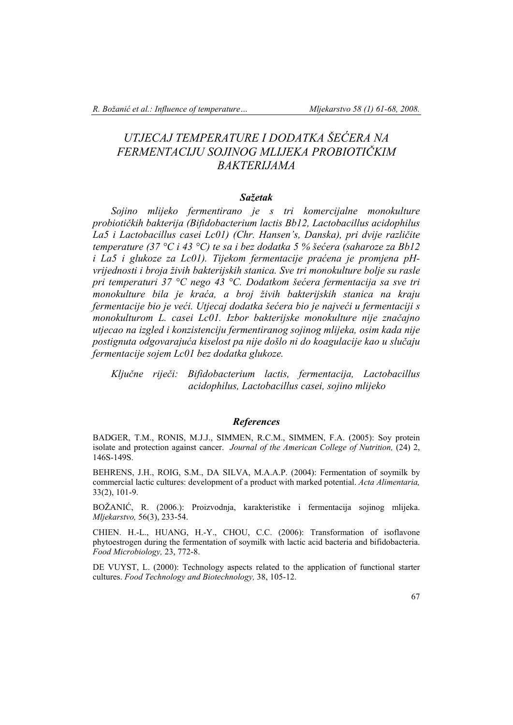# *UTJECAJ TEMPERATURE I DODATKA ŠEĆERA NA FERMENTACIJU SOJINOG MLIJEKA PROBIOTIČKIM BAKTERIJAMA*

#### *Sažetak*

*Sojino mlijeko fermentirano je s tri komercijalne monokulture probiotičkih bakterija (Bifidobacterium lactis Bb12, Lactobacillus acidophilus La5 i Lactobacillus casei Lc01) (Chr. Hansen's, Danska), pri dvije različite temperature (37 °C i 43 °C) te sa i bez dodatka 5 % šećera (saharoze za Bb12 i La5 i glukoze za Lc01). Tijekom fermentacije praćena je promjena pHvrijednosti i broja živih bakterijskih stanica. Sve tri monokulture bolje su rasle pri temperaturi 37 °C nego 43 °C. Dodatkom šećera fermentacija sa sve tri monokulture bila je kraća, a broj živih bakterijskih stanica na kraju fermentacije bio je veći. Utjecaj dodatka šećera bio je najveći u fermentaciji s monokulturom L. casei Lc01. Izbor bakterijske monokulture nije značajno utjecao na izgled i konzistenciju fermentiranog sojinog mlijeka, osim kada nije postignuta odgovarajuća kiselost pa nije došlo ni do koagulacije kao u slučaju fermentacije sojem Lc01 bez dodatka glukoze.* 

*Ključne riječi: Bifidobacterium lactis, fermentacija, Lactobacillus acidophilus, Lactobacillus casei, sojino mlijeko*

#### *References*

BADGER, T.M., RONIS, M.J.J., SIMMEN, R.C.M., SIMMEN, F.A. (2005): Soy protein isolate and protection against cancer. *Journal of the American College of Nutrition*, (24) 2, 146S-149S.

BEHRENS, J.H., ROIG, S.M., DA SILVA, M.A.A.P. (2004): Fermentation of soymilk by commercial lactic cultures: development of a product with marked potential. *Acta Alimentaria,* 33(2), 101-9.

BOŽANIĆ, R. (2006.): Proizvodnja, karakteristike i fermentacija sojinog mlijeka. *Mljekarstvo,* 56(3), 233-54.

CHIEN. H.-L., HUANG, H.-Y., CHOU, C.C. (2006): Transformation of isoflavone phytoestrogen during the fermentation of soymilk with lactic acid bacteria and bifidobacteria. *Food Microbiology,* 23, 772-8.

DE VUYST, L. (2000): Technology aspects related to the application of functional starter cultures. *Food Technology and Biotechnology,* 38, 105-12.